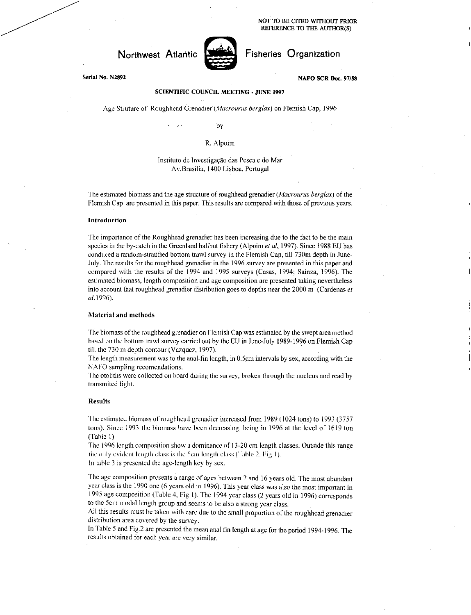NOT TO BE CITED WITHOUT PRIOR REFERENCE TO THE AUTHOR(S)



Northwest Atlantic **Notified** Fisheries Organization

Serial No. N2892 **NAFO SCR Doc. 97/58** 

## **SCIENTIFIC COUNCIL MEETING - JUNE 1997**

Age Struture of Roughhead Grenadier *(Macrourus berglax)* on Flemish Cap, 1996

by

#### R. Alpoim

## Instituto de Investigação das Pesca e do Mar Av.Brasilia, 1400 Lisboa, Portugal

The estimated biomass and the age structure of roughhead grenadier *(Macrourus berglax)* of the Flemish Cap are presented in this paper. This results are compared with those of previous years.

#### Introduction

The importance of the Roughhead grenadier has been increasing due to the fact to be the main species in the by-catch in the Greenland halibut fishery (Alpoim *et al,* 1997). Since 1988 EU has conduced a random-stratified bottom trawl survey in the Flemish Cap, till 730m depth in June-July. the results for the roughhead grenadier in the 1996 survey are presented in this paper and compared with the results of the 1994 and 1995 surveys (Casas, 1994; Sainza, 1996). The estimated biomass, length composition and age composition are presented taking nevertheless into account that roughhead grenadier distribution goes to depths near the 2000 m (Cardenas *et*  al,1996).

#### Material and methods

The biomass of the roughhead grenadier on Flemish Cap was estimated by the swept area method based on the bottom trawl survey carried out by the EU in June-July 1989-1996 on Flemish Cap till the 730 m depth contour (Vazquez, 1997).

The length measurement was to the anal-fin length, in 0.5cm intervals by sex, according with the NAFO sampling rccomcndations.

The otoliths were collected on board during the survey, broken through the nucleus and read by transmited light.

#### Results

The estimated biomass of roughhead grenadier increased from 1989 (1024 tons) to 1993 (3757 tons). Since 1993 the biomass have been decreasing, being in 1996 at the level of 1619 ton (Table I).

The 1996 length composition show a dominance of 13-20 cm length classes. Outside this range the only evident length class is the Scum length class (Table 2, Fig I ).

In table 3 is presented the age-length key by sex.

The age composition presents a range of ages between 2 and 16 years old. The most abundant year class is the 1990 one (6 years old in 1996). This year class was also the most important in 1995 age composition (Table 4, Fig. I). The 1994 year class (2 years old in 1996) corresponds to the 5cm modal length group and seems to be also a strong year class.

All this results must be taken with care due to the small proportion of the roughhead grenadier distribution area covered by the survey.

In Table 5 and Fig.2 arc presented the mean anal fin length at age for the period 1994-1996. The results obtained for each year arc very similar.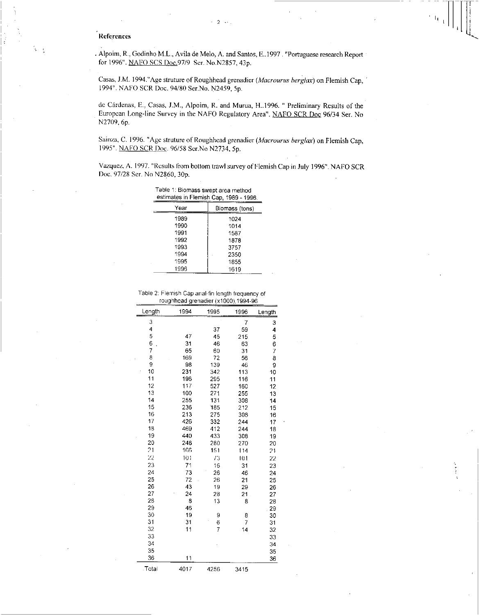## References

÷.

. Alpoim, R., Godinho M.L., Avila de Melo, A. and Santos, E..1997 . "Portuguese research Report for 1996". NAFO SCS Doc.97/9 Ser. No.N2857, 43p.

 $-2$ 

Casas, J.M. I994."Age struture of Roughhead grenadier *(Macrourus berglax)* on Flemish Cap, 1994". NAFO SCR Doc. 94/80 Ser.No. N2459, 5p.

de Cardenas, E., Casas, J.M., Alpoim, R. and Murua, 11..1996. " Preliminary Results of the European Long-line Survey in the NAFO Regulatory Area". NAFO SCR Doc 96/34 Ser. No N2709, 6p.

Sainza, C. 1996. "Age struture of Roughhcad grenadier *(Macrourus berglax)* on Flemish Cap, 1995". NAFO SCR Doc. 96/58 Ser.No N2734, 5p.

Vazquez, A. 1997. "Results from bottom trawl survey of Flemish Cap in July 1996". NAFO SCR Doc. 97/28 Ser. No N2860, 30p.

| Table 1: Biomass swept area method     |  |
|----------------------------------------|--|
| estimates in Flemish Cap, 1989 - 1996. |  |

| Year | Biomass (tons) |
|------|----------------|
| 1989 | 1024           |
| 1990 | 1014           |
| 1991 | 1587           |
| 1992 | 1878           |
| 1993 | 3757           |
| 1994 | 2350           |
| 1995 | 1855           |
| 1996 | 1619           |

Table 2. Flemish Cap anal-fin length frequency of roughhead grenadier (x1000),1994-96

| Lenath | 1994 | 1995 | 1996            | Length |
|--------|------|------|-----------------|--------|
| 3      |      |      | 7               | 3      |
| 4      |      | 37   | 59              | 4      |
| 5      | 47   | 45   | 215             | 5      |
| 6      | 31   | 46   | 63              | 6      |
| 7      | 65   | 60   | 31              | 7      |
| 8      | 169  | 72   | 56              | 8      |
| 9      | 98   | 139  | 46              | 9      |
| 10     | 231  | 342  | 113             | 10     |
| 11     | 196  | 295  | 116             | 11     |
| 12     | 117  | 527  | 160             | 12     |
| 13     | 100  | 271  | 255             | 13     |
| 14     | 255  | 131  | 308             | 14     |
| 15     | 236  | 185  | 2 <sup>12</sup> | 15     |
| 16     | 213  | 275  | 308             | 16     |
| 17     | 426  | 332  | 244             | 17     |
| 18     | 469  | 412  | 244             | 18     |
| 19     | 440  | 433  | 308             | 19     |
| 20     | 248  | 280  | 270             | 20     |
| 21     | 166  | 151  | 114             | 21     |
| 22     | 101  | 73   | 101             | 22     |
| 23     | 71   | 16   | 31              | 23     |
| 24     | 73   | 26   | 46              | 24     |
| 25     | 72   | 26   | 21              | 25     |
| 26     | 43   | 19   | 29              | 26     |
| 27     | 24   | 28   | 21              | 27     |
| 28     | 8    | 13   | 8               | 28     |
| 29     | 46   |      |                 | 29     |
| 30     | 19   | 9    | 8               | 30     |
| 31     | 31   | 6    | 7               | 31     |
| 32     | 11   | 7    | 14              | 32     |
| 33     |      |      |                 | 33     |
| 34     |      |      |                 | 34     |
| 35     |      |      |                 | 35     |
| 36     | 11   |      |                 | 36     |
| .Total | 4017 | 4256 | 3415            |        |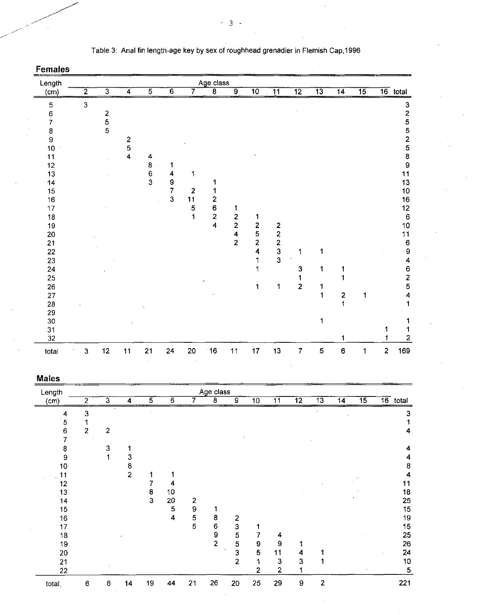| <b>Females</b> |                |                                            |                         |                |                |                |                             |                                           |                         |                                                 |                 |                 |                         |                 |                |                                            |
|----------------|----------------|--------------------------------------------|-------------------------|----------------|----------------|----------------|-----------------------------|-------------------------------------------|-------------------------|-------------------------------------------------|-----------------|-----------------|-------------------------|-----------------|----------------|--------------------------------------------|
| Length         |                |                                            |                         |                |                |                | Age class                   |                                           |                         |                                                 |                 |                 |                         |                 |                |                                            |
| (cm)           | $\overline{2}$ | $\overline{3}$                             | $\overline{4}$          | $\overline{5}$ | $\overline{6}$ | 7              | $\overline{\boldsymbol{8}}$ | ढ़                                        | $\overline{10}$         | $\overline{11}$                                 | $\overline{12}$ | $\overline{13}$ | $\overline{14}$         | $\overline{15}$ |                | $\overline{16}$ total                      |
| 5              | $\mathbf{3}$   |                                            |                         |                |                |                |                             |                                           |                         |                                                 |                 |                 |                         |                 |                |                                            |
| 6              |                |                                            |                         |                |                |                |                             |                                           |                         |                                                 |                 |                 |                         |                 |                | 32552589                                   |
| 7              |                | $\begin{array}{c} 2 \\ 5 \\ 5 \end{array}$ |                         |                |                |                |                             |                                           |                         |                                                 |                 |                 |                         |                 |                |                                            |
| 8              |                |                                            |                         |                |                |                |                             |                                           |                         |                                                 |                 |                 |                         |                 |                |                                            |
| 9              |                |                                            | $\overline{\mathbf{c}}$ |                |                |                |                             |                                           |                         |                                                 |                 |                 |                         |                 |                |                                            |
| 10             |                |                                            | 5                       |                |                |                |                             |                                           |                         |                                                 |                 |                 |                         |                 |                |                                            |
| 11             |                |                                            | $\overline{\mathbf{4}}$ | 4              |                |                |                             |                                           |                         |                                                 |                 |                 |                         |                 |                |                                            |
| 12             |                |                                            |                         | 8              | 1              |                |                             |                                           |                         |                                                 |                 |                 |                         |                 |                |                                            |
| 13             |                |                                            |                         | $\frac{6}{3}$  | 4              | 1              |                             |                                           |                         |                                                 |                 |                 |                         |                 |                | 11                                         |
| 14             |                |                                            |                         |                | 9              |                |                             |                                           |                         |                                                 |                 |                 |                         |                 |                | 13                                         |
| 15             |                |                                            |                         |                | $\overline{7}$ | $\overline{2}$ |                             |                                           |                         |                                                 |                 |                 |                         |                 |                | 10                                         |
| 16             |                |                                            |                         |                | 3              | 11             | $\overline{\mathbf{c}}$     |                                           |                         |                                                 |                 |                 |                         |                 |                | 16                                         |
| 17             |                |                                            |                         |                |                | 5              | 6                           | 1                                         |                         |                                                 |                 |                 |                         |                 |                | $12 \overline{ }$                          |
| 18             |                |                                            |                         |                |                | 1              | $\frac{2}{4}$               | $\frac{2}{2}$                             | 1                       |                                                 |                 |                 |                         |                 |                | $\,6\,$                                    |
| 19             |                |                                            |                         |                |                |                |                             |                                           | $\frac{2}{5}$           | $\boldsymbol{z}$                                |                 |                 |                         |                 |                | 10                                         |
| 20             |                |                                            |                         |                |                |                |                             | $\overline{\mathbf{4}}$<br>$\overline{2}$ | $\overline{2}$          | $\begin{array}{c} 2 \\ 2 \\ 3 \\ 3 \end{array}$ |                 |                 |                         |                 |                | 11                                         |
| 21             |                |                                            |                         |                |                |                |                             |                                           | $\overline{\mathbf{4}}$ |                                                 |                 | 1               |                         |                 |                | $\boldsymbol{6}$                           |
| 22             |                |                                            |                         |                |                |                |                             |                                           | 1                       |                                                 | 1               |                 |                         |                 |                | 9                                          |
| 23<br>24       |                |                                            |                         |                |                |                |                             |                                           | 1                       |                                                 | 3               | 1               | 1                       |                 |                | 4                                          |
| 25             |                |                                            |                         |                |                |                |                             |                                           |                         |                                                 | 1               |                 |                         |                 |                |                                            |
| 26             |                |                                            |                         |                |                |                |                             |                                           | 1                       | 1                                               | $\overline{2}$  | 1               |                         |                 |                | $\begin{array}{c} 6 \\ 2 \\ 5 \end{array}$ |
| 27             |                |                                            |                         |                |                |                |                             |                                           |                         |                                                 |                 | 1               | $\overline{\mathbf{c}}$ | 1               |                | 4                                          |
| 28             |                |                                            |                         |                |                |                |                             |                                           |                         |                                                 |                 |                 | 1                       |                 |                | 1                                          |
| 29             |                |                                            |                         |                |                |                |                             |                                           |                         |                                                 |                 |                 |                         |                 |                |                                            |
| 30             |                |                                            |                         |                |                |                |                             |                                           |                         |                                                 |                 | 1               |                         |                 |                |                                            |
| 31             |                |                                            |                         |                |                |                |                             |                                           |                         |                                                 |                 |                 |                         |                 |                | 1                                          |
| 32             |                |                                            |                         |                |                |                |                             |                                           |                         |                                                 |                 |                 |                         |                 |                | $\overline{2}$                             |
| total          | $\mathbf 3$    | 12                                         | 11                      | 21             | 24             | 20             | 16                          | 11                                        | 17                      | 13                                              | $\overline{7}$  | 5               | 6                       | 1               | $\overline{c}$ | 169                                        |

## Table 3: Anal fin length-age key by sex of roughhead grenadier in Flemish Cap,1996

# Males

| Length  |                |                |                |    |                |                | Age class |                         |                  |                 |                 |                 |                 |                 |            |
|---------|----------------|----------------|----------------|----|----------------|----------------|-----------|-------------------------|------------------|-----------------|-----------------|-----------------|-----------------|-----------------|------------|
| (cm)    | $\overline{2}$ | $\overline{3}$ | 4              | 5  | $\overline{6}$ |                | 8         | $\overline{9}$          | $\overline{10}$  | $\overline{11}$ | $\overline{12}$ | $\overline{13}$ | $\overline{14}$ | $\overline{15}$ | $16$ total |
| 4       | $\mathbf{3}$   |                |                |    |                |                |           |                         |                  |                 |                 |                 |                 |                 | з          |
| 5       |                |                |                |    |                |                |           |                         |                  |                 |                 |                 |                 |                 |            |
| $\bf 6$ | $\overline{c}$ | $\overline{c}$ |                |    |                |                |           |                         |                  |                 |                 |                 |                 |                 |            |
| 7       |                |                |                |    |                |                |           |                         |                  |                 |                 |                 |                 |                 |            |
| 8       |                | -3             |                |    |                |                |           |                         |                  |                 |                 |                 |                 |                 |            |
| 9       |                |                | 3              |    |                |                |           |                         |                  |                 |                 |                 |                 |                 |            |
| 10      |                |                | 8              |    |                |                |           |                         |                  |                 |                 |                 |                 |                 | 8          |
| 11      |                |                | $\overline{c}$ |    |                |                |           |                         |                  |                 |                 |                 |                 |                 | 4          |
| 12      |                |                |                |    | 4              |                |           |                         |                  |                 |                 |                 |                 |                 | 11         |
| 13      |                |                |                | 8  | 10             |                |           |                         |                  |                 |                 |                 |                 |                 | 18         |
| 14      |                |                |                | 3  | 20             | $\overline{2}$ |           |                         |                  |                 |                 |                 |                 |                 | 25         |
| 15      |                |                |                |    | $\overline{5}$ | $\pmb{9}$      |           |                         |                  |                 |                 |                 |                 |                 | 15         |
| 16      |                |                |                |    | 4              | 5              | 8         | $\overline{\mathbf{c}}$ |                  |                 |                 |                 |                 |                 | 19         |
| 17      |                |                |                |    |                | 5              | 6         | $\mathbf 3$             |                  |                 |                 |                 |                 |                 | 15         |
| 18      |                |                |                |    |                |                | 9         | 5                       |                  | 4               |                 |                 |                 |                 | 25         |
| 19      |                |                |                |    |                |                | 2         | ${\bf 5}$               | $\boldsymbol{9}$ | 9               |                 |                 |                 |                 | 26         |
| 20      |                |                |                |    |                |                |           | 3                       | 5                | 11              | 4               |                 |                 |                 | 24         |
| 21      |                |                |                |    |                |                |           | $\overline{2}$          | 1                | $\mathbf 3$     | 3               |                 |                 |                 | 10         |
| 22      |                |                |                |    |                |                |           |                         | $\overline{2}$   | 2               |                 |                 |                 |                 | 5          |
| total   | 6              | 6              | 14             | 19 | 44             | 21             | 26        | 20                      | 25               | 29              | 9               | 2               |                 |                 | 221        |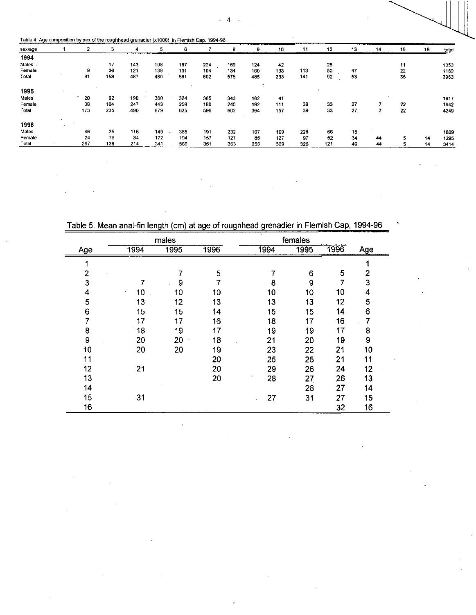$\overline{4}$  $\ddot{\phantom{a}}$ 

| sextage |              |     | 3   |      | 5   | 6   |     | 8   |                                | 10  | 11  | 12                    | 13  | 14<br>------------ | 15 | 16 | total |
|---------|--------------|-----|-----|------|-----|-----|-----|-----|--------------------------------|-----|-----|-----------------------|-----|--------------------|----|----|-------|
| 1994    |              |     |     |      |     |     |     |     |                                |     |     |                       |     |                    |    |    | $-$   |
| Males   |              |     | 17  | 143  | 108 | 187 | 224 | 169 | 124                            | 42  |     | 28                    |     |                    | 11 |    | 1053  |
| Female  |              | 9   | 36  | 121  | 139 | 101 | 104 | 134 | 160                            | 133 | 113 | 50                    | 47  |                    | 22 |    | 1169  |
| Total   |              | 61  | 158 | 487  | 480 | 561 | 602 | 575 | 485                            | 233 | 141 | $\sim$ 10 $\pm$<br>92 | 53  |                    | 35 |    | 3963  |
| 1995    |              |     |     |      |     |     |     |     | $\ddot{\phantom{1}}$<br>$\sim$ |     |     |                       |     |                    |    |    |       |
| Males   |              | 20  | 92  | 190  | 360 | 324 | 385 | 343 | 162                            | -41 |     |                       |     |                    |    |    | 1917  |
| Female  |              | 38  | 104 | 247  | 443 | 259 | 180 | 240 | 192                            | 111 | 39  | 33                    | 27  |                    | 22 |    | 1942  |
| Totat   |              | 173 | 235 | .490 | 879 | 625 | 596 | 602 | 364                            | 157 | 39  | 33                    | 27. |                    | 22 |    | 4249  |
| 1996    | $\mathbf{H}$ |     |     |      |     |     |     |     |                                |     |     |                       |     |                    |    |    |       |
| Males   |              | 46  | 35  | 116  | 149 | 365 | 191 | 232 | 167                            | 199 | 226 | 68                    | 15  |                    |    |    | 1809  |
| Female  |              | 24  | 79  | 84   | 172 | 194 | 157 | 127 | 85                             | 127 | 97  | 52                    | 34  | 44                 | 5  | 14 | 1295  |
| Total   |              | 297 | 136 | 214  | 341 | 569 | 351 | 363 | 255                            | 329 | 326 | 121                   | 49  | 44                 | 5  | 14 | 3414  |

Table 5: Mean anal-fin length (cm) at age of roughhead grenadier in Flemish Cap, 1994-96

|     |      | males |      | females |      |      |                |
|-----|------|-------|------|---------|------|------|----------------|
| Age | 1994 | 1995  | 1996 | 1994    | 1995 | 1996 | Age            |
| 1   |      |       |      |         |      |      |                |
| 2   |      | 7     | 5    | 7       | 6    | 5    | $\overline{2}$ |
| 3   | 7    | 9     | 7    | 8       | 9    | 7    | 3              |
| 4   | 10   | 10    | 10   | 10      | 10   | 10   | 4              |
| 5   | 13   | 12    | 13   | 13      | 13   | 12   | 5              |
| 6   | 15   | 15    | 14   | 15      | 15   | 14   | 6              |
| 7   | 17   | 17    | 16   | 18      | 17   | 16   | 7              |
| 8   | 18   | 19    | 17   | 19      | 19   | 17   | 8              |
| 9   | 20   | 20    | 18   | 21      | 20   | 19   | 9              |
| 10  | 20   | 20    | 19   | 23      | 22   | 21   | 10             |
| 11  |      |       | 20   | 25      | 25   | 21   | 11             |
| 12  | 21   |       | 20   | 29      | 26   | 24   | 12             |
| 13  |      |       | 20   | 28      | 27   | 26   | 13             |
| 14  |      |       |      |         | 28   | 27   | 14             |
| 15  | 31   |       |      | 27      | 31   | 27   | 15             |
| 16  |      |       |      |         |      | 32   | 16             |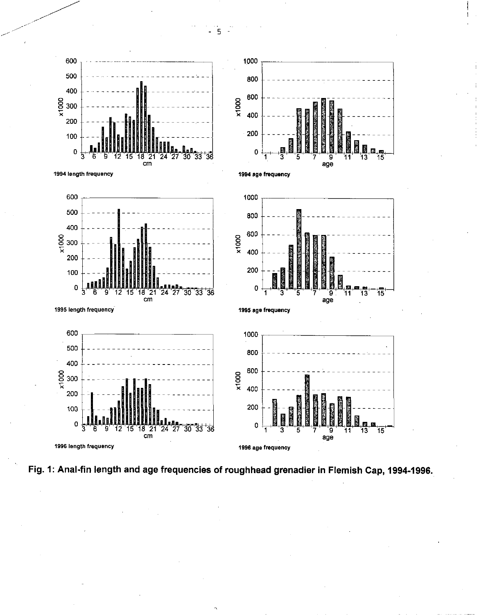